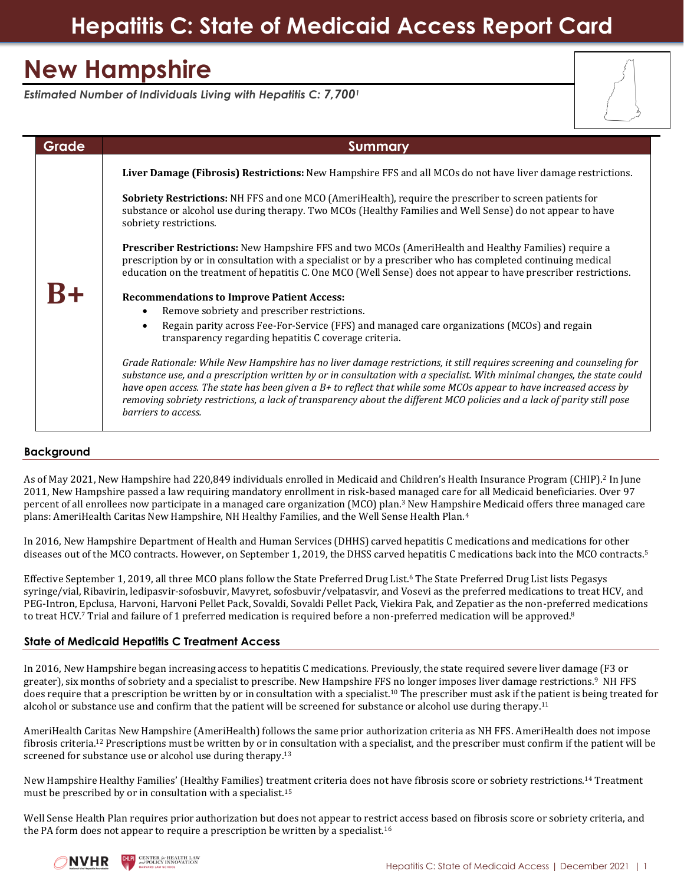# **Hepatitis C: State of Medicaid Access Report Card**

# **New Hampshire**

*Estimated Number of Individuals Living with Hepatitis C: 7,700<sup>1</sup>*

| Grade | <b>Summary</b>                                                                                                                                                                                                                                                                                                                                                                                                                                                                                                            |
|-------|---------------------------------------------------------------------------------------------------------------------------------------------------------------------------------------------------------------------------------------------------------------------------------------------------------------------------------------------------------------------------------------------------------------------------------------------------------------------------------------------------------------------------|
|       | Liver Damage (Fibrosis) Restrictions: New Hampshire FFS and all MCOs do not have liver damage restrictions.                                                                                                                                                                                                                                                                                                                                                                                                               |
|       | <b>Sobriety Restrictions:</b> NH FFS and one MCO (AmeriHealth), require the prescriber to screen patients for<br>substance or alcohol use during therapy. Two MCOs (Healthy Families and Well Sense) do not appear to have<br>sobriety restrictions.                                                                                                                                                                                                                                                                      |
|       | <b>Prescriber Restrictions:</b> New Hampshire FFS and two MCOs (AmeriHealth and Healthy Families) require a<br>prescription by or in consultation with a specialist or by a prescriber who has completed continuing medical<br>education on the treatment of hepatitis C. One MCO (Well Sense) does not appear to have prescriber restrictions.                                                                                                                                                                           |
|       | <b>Recommendations to Improve Patient Access:</b>                                                                                                                                                                                                                                                                                                                                                                                                                                                                         |
|       | Remove sobriety and prescriber restrictions.                                                                                                                                                                                                                                                                                                                                                                                                                                                                              |
|       | Regain parity across Fee-For-Service (FFS) and managed care organizations (MCOs) and regain<br>transparency regarding hepatitis C coverage criteria.                                                                                                                                                                                                                                                                                                                                                                      |
|       | Grade Rationale: While New Hampshire has no liver damage restrictions, it still requires screening and counseling for<br>substance use, and a prescription written by or in consultation with a specialist. With minimal changes, the state could<br>have open access. The state has been given a B+ to reflect that while some MCOs appear to have increased access by<br>removing sobriety restrictions, a lack of transparency about the different MCO policies and a lack of parity still pose<br>barriers to access. |

## **Background**

As of May 2021, New Hampshire had 220,849 individuals enrolled in Medicaid and Children's Health Insurance Program (CHIP).<sup>2</sup> In June 2011, New Hampshire passed a law requiring mandatory enrollment in risk-based managed care for all Medicaid beneficiaries. Over 97 percent of all enrollees now participate in a managed care organization (MCO) plan. <sup>3</sup> New Hampshire Medicaid offers three managed care plans: AmeriHealth Caritas New Hampshire, NH Healthy Families, and the Well Sense Health Plan.<sup>4</sup>

In 2016, New Hampshire Department of Health and Human Services (DHHS) carved hepatitis C medications and medications for other diseases out of the MCO contracts. However, on September 1, 2019, the DHSS carved hepatitis C medications back into the MCO contracts.<sup>5</sup>

Effective September 1, 2019, all three MCO plans follow the State Preferred Drug List.<sup>6</sup> The State Preferred Drug List lists Pegasys syringe/vial, Ribavirin, ledipasvir-sofosbuvir, Mavyret, sofosbuvir/velpatasvir, and Vosevi as the preferred medications to treat HCV, and PEG-Intron, Epclusa, Harvoni, Harvoni Pellet Pack, Sovaldi, Sovaldi Pellet Pack, Viekira Pak, and Zepatier as the non-preferred medications to treat HCV.<sup>7</sup> Trial and failure of 1 preferred medication is required before a non-preferred medication will be approved.<sup>8</sup>

## **State of Medicaid Hepatitis C Treatment Access**

In 2016, New Hampshire began increasing access to hepatitis C medications. Previously, the state required severe liver damage (F3 or greater), six months of sobriety and a specialist to prescribe. New Hampshire FFS no longer imposes liver damage restrictions.<sup>9</sup> NH FFS does require that a prescription be written by or in consultation with a specialist.<sup>10</sup> The prescriber must ask if the patient is being treated for alcohol or substance use and confirm that the patient will be screened for substance or alcohol use during therapy.<sup>11</sup>

AmeriHealth Caritas New Hampshire (AmeriHealth) follows the same prior authorization criteria as NH FFS. AmeriHealth does not impose fibrosis criteria.<sup>12</sup> Prescriptions must be written by or in consultation with a specialist, and the prescriber must confirm if the patient will be screened for substance use or alcohol use during therapy.<sup>13</sup>

New Hampshire Healthy Families' (Healthy Families) treatment criteria does not have fibrosis score or sobriety restrictions.<sup>14</sup> Treatment must be prescribed by or in consultation with a specialist.<sup>15</sup>

Well Sense Health Plan requires prior authorization but does not appear to restrict access based on fibrosis score or sobriety criteria, and the PA form does not appear to require a prescription be written by a specialist.<sup>16</sup>